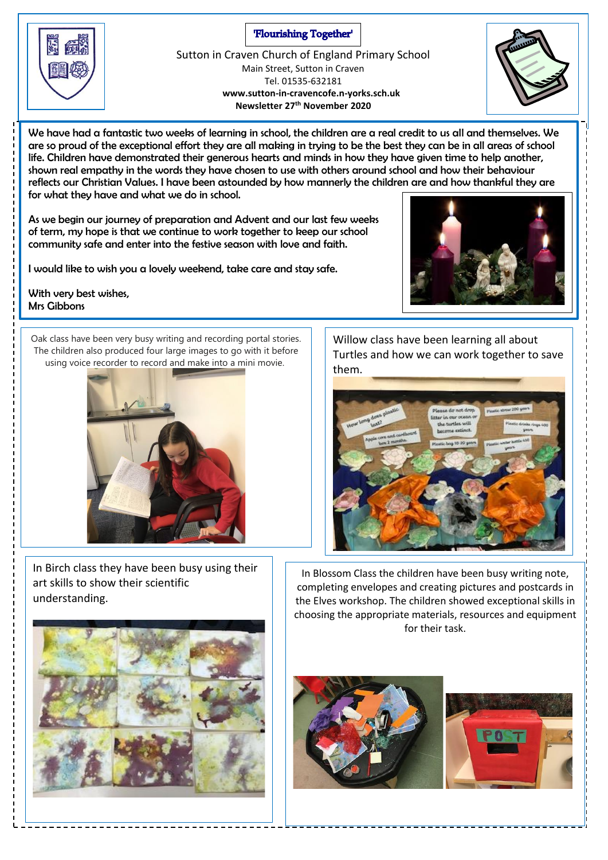#### 'Flourishing Together'

Sutton in Craven Church of England Primary School Main Street, Sutton in Craven Tel. 01535-632181  **www.sutton-in-cravencofe.n-yorks.sch.uk Newsletter 27th November 2020**

We have had a fantastic two weeks of learning in school, the children are a real credit to us all and themselves. We are so proud of the exceptional effort they are all making in trying to be the best they can be in all areas of school life. Children have demonstrated their generous hearts and minds in how they have given time to help another, shown real empathy in the words they have chosen to use with others around school and how their behaviour reflects our Christian Values. I have been astounded by how mannerly the children are and how thankful they are for what they have and what we do in school.

As we begin our journey of preparation and Advent and our last few weeks of term, my hope is that we continue to work together to keep our school community safe and enter into the festive season with love and faith.

I would like to wish you a lovely weekend, take care and stay safe.

With very best wishes, Mrs Gibbons

Oak class have been very busy writing and recording portal stories. The children also produced four large images to go with it before using voice recorder to record and make into a mini movie.



In Birch class they have been busy using their art skills to show their scientific understanding.

Willow class have been learning all about Turtles and how we can work together to save them.



In Blossom Class the children have been busy writing note, completing envelopes and creating pictures and postcards in the Elves workshop. The children showed exceptional skills in choosing the appropriate materials, resources and equipment for their task.









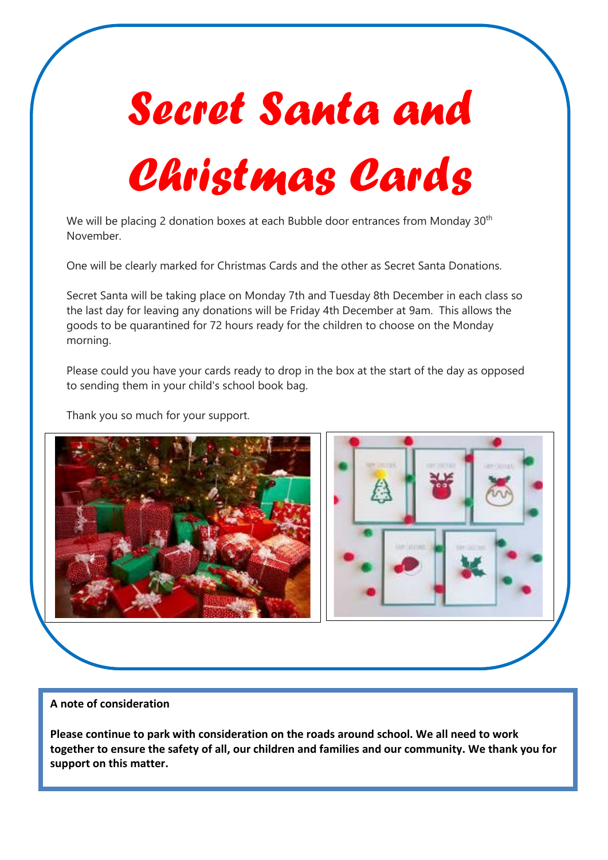# *Secret Santa and Christmas Cards*

We will be placing 2 donation boxes at each Bubble door entrances from Monday 30<sup>th</sup> November.

One will be clearly marked for Christmas Cards and the other as Secret Santa Donations.

Secret Santa will be taking place on Monday 7th and Tuesday 8th December in each class so the last day for leaving any donations will be Friday 4th December at 9am. This allows the goods to be quarantined for 72 hours ready for the children to choose on the Monday morning.

Please could you have your cards ready to drop in the box at the start of the day as opposed to sending them in your child's school book bag.

Thank you so much for your support.



#### **A note of consideration**

**Please continue to park with consideration on the roads around school. We all need to work together to ensure the safety of all, our children and families and our community. We thank you for support on this matter.**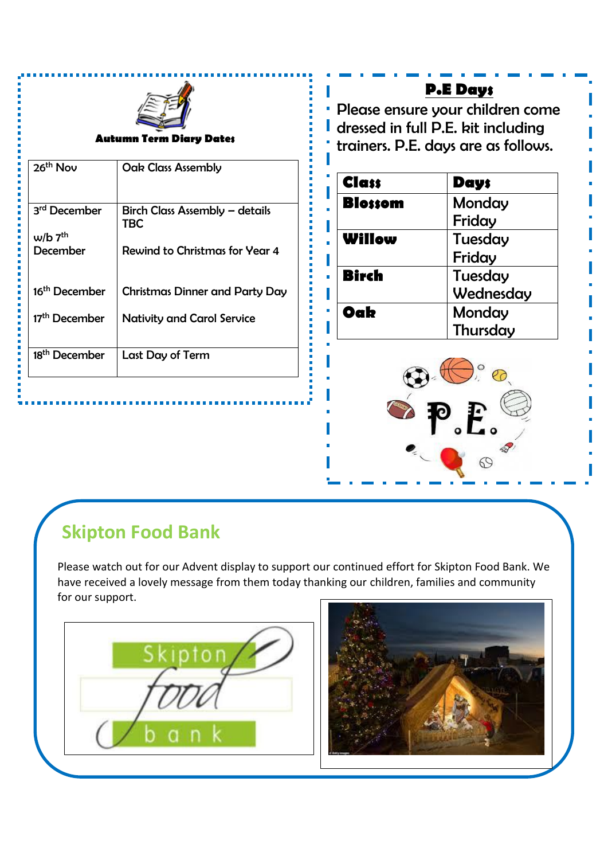

#### **Autumn Term Diary Dates**

| 26 <sup>th</sup> Nov      | <b>Oak Class Assembly</b>             |
|---------------------------|---------------------------------------|
| 3 <sup>rd</sup> December  | Birch Class Assembly - details<br>TBC |
| $w/b$ $7th$               |                                       |
| December                  | Rewind to Christmas for Year 4        |
| 16 <sup>th</sup> December | <b>Christmas Dinner and Party Day</b> |
|                           |                                       |
| 17 <sup>th</sup> December | <b>Nativity and Carol Service</b>     |
| 18 <sup>th</sup> December | Last Day of Term                      |

## **P.E Days**

Please ensure your children come dressed in full P.E. kit including trainers. P.E. days are as follows.

| <b>Class</b>   | Day;      |
|----------------|-----------|
| <b>Blossom</b> | Monday    |
|                | Friday    |
| Willow         | Tuesday   |
|                | Friday    |
| <b>Birch</b>   | Tuesday   |
|                | Wednesday |
| Oak            | Monday    |
|                | Thursday  |



# **Skipton Food Bank**

Please watch out for our Advent display to support our continued effort for Skipton Food Bank. We have received a lovely message from them today thanking our children, families and community for our support.

........